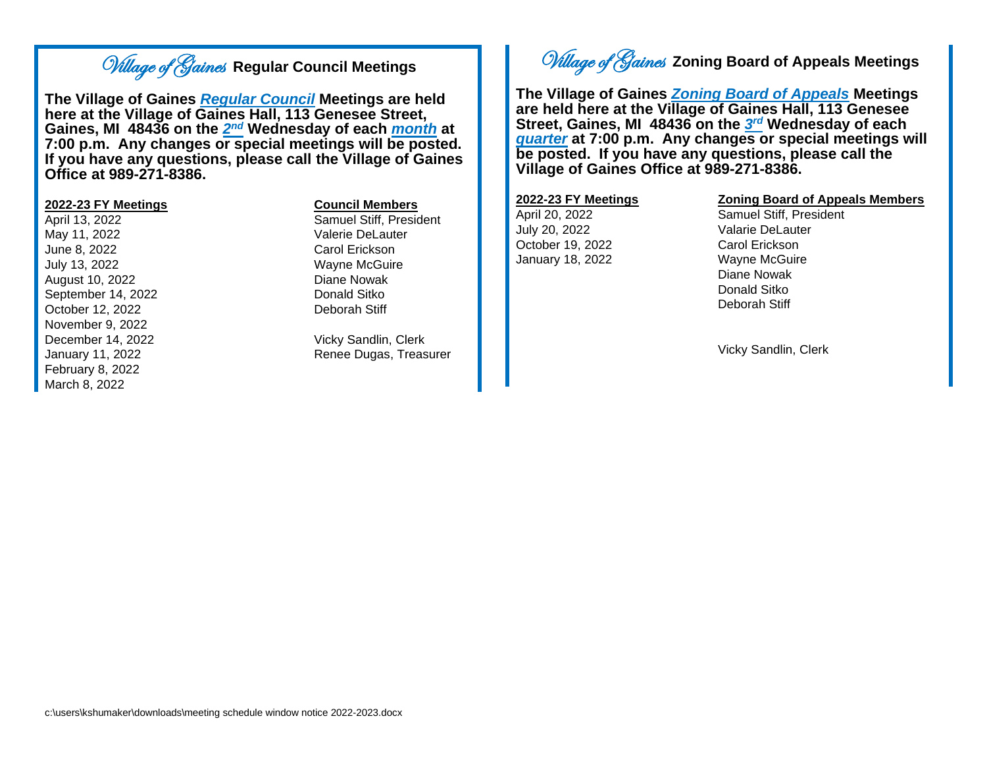## Village of Gaines **Regular Council Meetings**

**The Village of Gaines** *Regular Council* **Meetings are held here at the Village of Gaines Hall, 113 Genesee Street,**  Gaines, MI 48436 on the  $2^{nd}$  Wednesday of each *<u>month</u>* at **7:00 p.m. Any changes or special meetings will be posted. If you have any questions, please call the Village of Gaines Office at 989-271-8386.**

## **2022-23 FY Meetings Council Members**

May 11, 2022 **Valerie DeLauter** June 8, 2022 Carol Erickson July 13, 2022 Wayne McGuire August 10, 2022 Diane Nowak September 14, 2022 Donald Sitko October 12, 2022 Deborah Stiff November 9, 2022 December 14, 2022 Vicky Sandlin, Clerk February 8, 2022 March 8, 2022

April 13, 2022 Samuel Stiff, President

January 11, 2022 Renee Dugas, Treasurer

# Village of Gaines **Zoning Board of Appeals Meetings**

**The Village of Gaines** *Zoning Board of Appeals* **Meetings are held here at the Village of Gaines Hall, 113 Genesee Street, Gaines, MI 48436 on the** *3 rd* **Wednesday of each**  *quarter* **at 7:00 p.m. Any changes or special meetings will be posted. If you have any questions, please call the Village of Gaines Office at 989-271-8386.**

July 20, 2022 Valarie DeLauter October 19, 2022 Carol Erickson January 18, 2022 Wayne McGuire

### **2022-23 FY Meetings Zoning Board of Appeals Members**

April 20, 2022 Samuel Stiff, President Diane Nowak Donald Sitko Deborah Stiff

Vicky Sandlin, Clerk